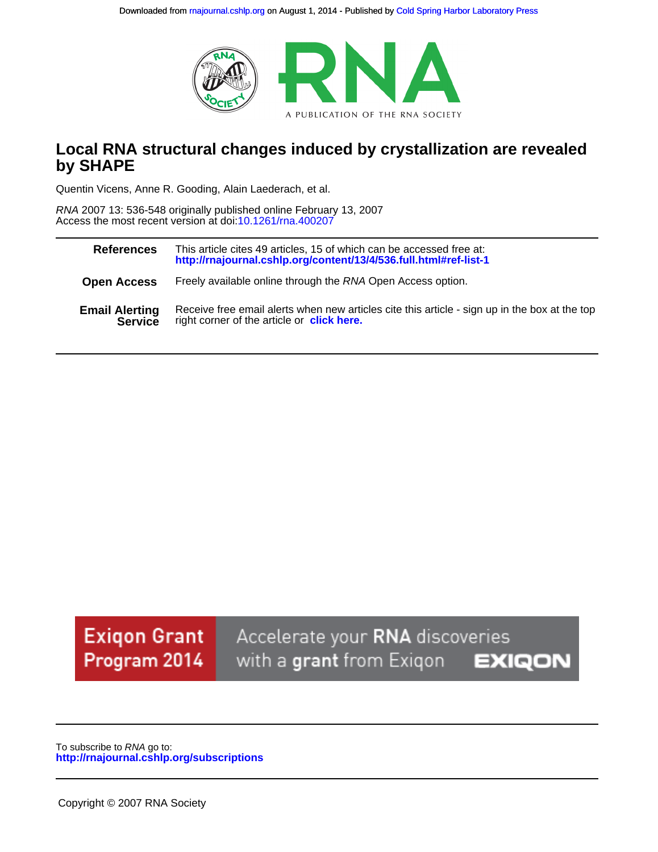

# **by SHAPE Local RNA structural changes induced by crystallization are revealed**

Quentin Vicens, Anne R. Gooding, Alain Laederach, et al.

Access the most recent version at doi[:10.1261/rna.400207](http://rnajournal.cshlp.org/lookup/doi/10.1261/rna.400207) RNA 2007 13: 536-548 originally published online February 13, 2007

| <b>References</b>                       | This article cites 49 articles, 15 of which can be accessed free at:<br>http://rnajournal.cshlp.org/content/13/4/536.full.html#ref-list-1          |  |  |  |  |
|-----------------------------------------|----------------------------------------------------------------------------------------------------------------------------------------------------|--|--|--|--|
| <b>Open Access</b>                      | Freely available online through the RNA Open Access option.                                                                                        |  |  |  |  |
| <b>Email Alerting</b><br><b>Service</b> | Receive free email alerts when new articles cite this article - sign up in the box at the top<br>right corner of the article or <b>click here.</b> |  |  |  |  |

# **Exigon Grant** Program 2014

Accelerate your RNA discoveries with a **grant** from Exigon

**EXIQON** 

**<http://rnajournal.cshlp.org/subscriptions>** To subscribe to RNA go to: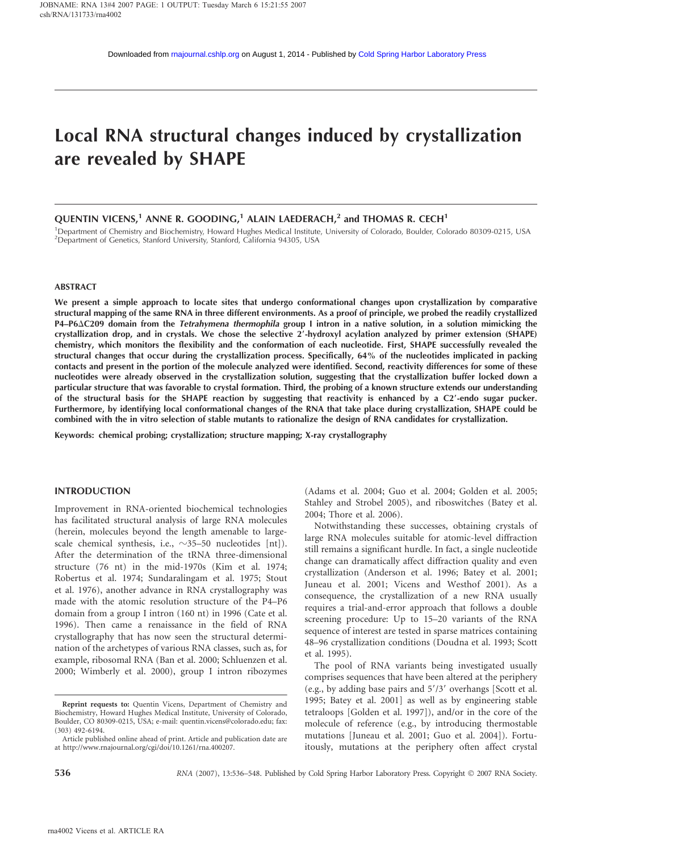# Local RNA structural changes induced by crystallization are revealed by SHAPE

# QUENTIN VICENS,<sup>1</sup> ANNE R. GOODING,<sup>1</sup> ALAIN LAEDERACH,<sup>2</sup> and THOMAS R. CECH<sup>1</sup>

<sup>1</sup>Department of Chemistry and Biochemistry, Howard Hughes Medical Institute, University of Colorado, Boulder, Colorado 80309-0215, USA <sup>2</sup> Department of Genetics, Stanford University, Stanford, California 94305, USA

#### ABSTRACT

We present a simple approach to locate sites that undergo conformational changes upon crystallization by comparative structural mapping of the same RNA in three different environments. As a proof of principle, we probed the readily crystallized  $P4-P6\Delta C209$  domain from the Tetrahymena thermophila group I intron in a native solution, in a solution mimicking the crystallization drop, and in crystals. We chose the selective 2'-hydroxyl acylation analyzed by primer extension (SHAPE) chemistry, which monitors the flexibility and the conformation of each nucleotide. First, SHAPE successfully revealed the structural changes that occur during the crystallization process. Specifically, 64% of the nucleotides implicated in packing contacts and present in the portion of the molecule analyzed were identified. Second, reactivity differences for some of these nucleotides were already observed in the crystallization solution, suggesting that the crystallization buffer locked down a particular structure that was favorable to crystal formation. Third, the probing of a known structure extends our understanding of the structural basis for the SHAPE reaction by suggesting that reactivity is enhanced by a  $C2'$ -endo sugar pucker. Furthermore, by identifying local conformational changes of the RNA that take place during crystallization, SHAPE could be combined with the in vitro selection of stable mutants to rationalize the design of RNA candidates for crystallization.

Keywords: chemical probing; crystallization; structure mapping; X-ray crystallography

#### INTRODUCTION

Improvement in RNA-oriented biochemical technologies has facilitated structural analysis of large RNA molecules (herein, molecules beyond the length amenable to largescale chemical synthesis, i.e.,  $\sim$ 35–50 nucleotides [nt]). After the determination of the tRNA three-dimensional structure (76 nt) in the mid-1970s (Kim et al. 1974; Robertus et al. 1974; Sundaralingam et al. 1975; Stout et al. 1976), another advance in RNA crystallography was made with the atomic resolution structure of the P4–P6 domain from a group I intron (160 nt) in 1996 (Cate et al. 1996). Then came a renaissance in the field of RNA crystallography that has now seen the structural determination of the archetypes of various RNA classes, such as, for example, ribosomal RNA (Ban et al. 2000; Schluenzen et al. 2000; Wimberly et al. 2000), group I intron ribozymes

(Adams et al. 2004; Guo et al. 2004; Golden et al. 2005; Stahley and Strobel 2005), and riboswitches (Batey et al. 2004; Thore et al. 2006).

Notwithstanding these successes, obtaining crystals of large RNA molecules suitable for atomic-level diffraction still remains a significant hurdle. In fact, a single nucleotide change can dramatically affect diffraction quality and even crystallization (Anderson et al. 1996; Batey et al. 2001; Juneau et al. 2001; Vicens and Westhof 2001). As a consequence, the crystallization of a new RNA usually requires a trial-and-error approach that follows a double screening procedure: Up to 15–20 variants of the RNA sequence of interest are tested in sparse matrices containing 48–96 crystallization conditions (Doudna et al. 1993; Scott et al. 1995).

The pool of RNA variants being investigated usually comprises sequences that have been altered at the periphery (e.g., by adding base pairs and  $5'/3'$  overhangs [Scott et al. 1995; Batey et al. 2001] as well as by engineering stable tetraloops [Golden et al. 1997]), and/or in the core of the molecule of reference (e.g., by introducing thermostable mutations [Juneau et al. 2001; Guo et al. 2004]). Fortuitously, mutations at the periphery often affect crystal

Reprint requests to: Quentin Vicens, Department of Chemistry and Biochemistry, Howard Hughes Medical Institute, University of Colorado, Boulder, CO 80309-0215, USA; e-mail: quentin.vicens@colorado.edu; fax: (303) 492-6194.

Article published online ahead of print. Article and publication date are at http://www.rnajournal.org/cgi/doi/10.1261/rna.400207.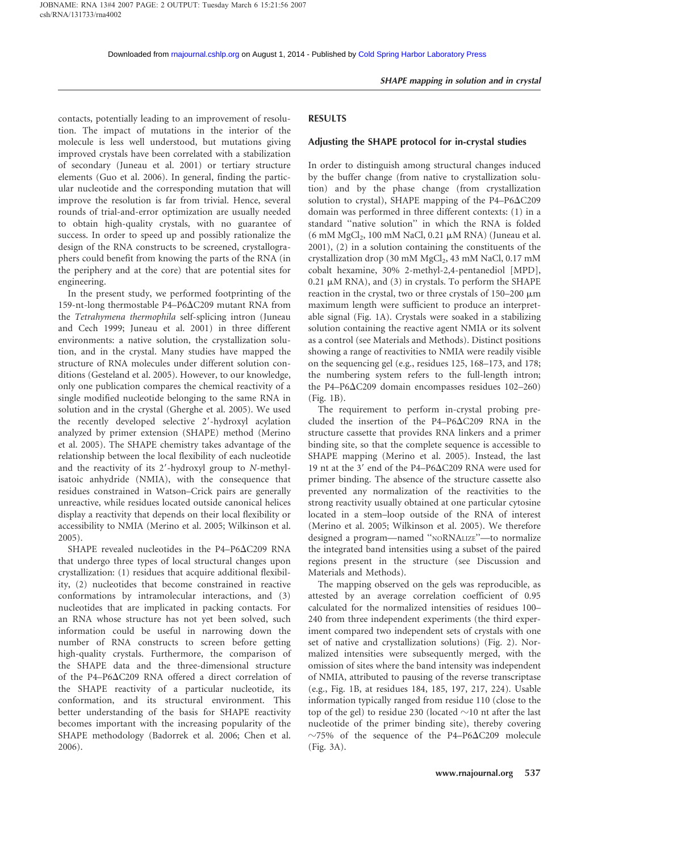contacts, potentially leading to an improvement of resolution. The impact of mutations in the interior of the molecule is less well understood, but mutations giving improved crystals have been correlated with a stabilization of secondary (Juneau et al. 2001) or tertiary structure elements (Guo et al. 2006). In general, finding the particular nucleotide and the corresponding mutation that will improve the resolution is far from trivial. Hence, several rounds of trial-and-error optimization are usually needed to obtain high-quality crystals, with no guarantee of success. In order to speed up and possibly rationalize the design of the RNA constructs to be screened, crystallographers could benefit from knowing the parts of the RNA (in the periphery and at the core) that are potential sites for engineering.

In the present study, we performed footprinting of the 159-nt-long thermostable P4–P6 $\Delta$ C209 mutant RNA from the Tetrahymena thermophila self-splicing intron (Juneau and Cech 1999; Juneau et al. 2001) in three different environments: a native solution, the crystallization solution, and in the crystal. Many studies have mapped the structure of RNA molecules under different solution conditions (Gesteland et al. 2005). However, to our knowledge, only one publication compares the chemical reactivity of a single modified nucleotide belonging to the same RNA in solution and in the crystal (Gherghe et al. 2005). We used the recently developed selective 2'-hydroxyl acylation analyzed by primer extension (SHAPE) method (Merino et al. 2005). The SHAPE chemistry takes advantage of the relationship between the local flexibility of each nucleotide and the reactivity of its  $2'$ -hydroxyl group to N-methylisatoic anhydride (NMIA), with the consequence that residues constrained in Watson–Crick pairs are generally unreactive, while residues located outside canonical helices display a reactivity that depends on their local flexibility or accessibility to NMIA (Merino et al. 2005; Wilkinson et al. 2005).

SHAPE revealed nucleotides in the P4–P6 $\Delta$ C209 RNA that undergo three types of local structural changes upon crystallization: (1) residues that acquire additional flexibility, (2) nucleotides that become constrained in reactive conformations by intramolecular interactions, and (3) nucleotides that are implicated in packing contacts. For an RNA whose structure has not yet been solved, such information could be useful in narrowing down the number of RNA constructs to screen before getting high-quality crystals. Furthermore, the comparison of the SHAPE data and the three-dimensional structure of the P4–P6 $\Delta$ C209 RNA offered a direct correlation of the SHAPE reactivity of a particular nucleotide, its conformation, and its structural environment. This better understanding of the basis for SHAPE reactivity becomes important with the increasing popularity of the SHAPE methodology (Badorrek et al. 2006; Chen et al. 2006).

# RESULTS

# Adjusting the SHAPE protocol for in-crystal studies

In order to distinguish among structural changes induced by the buffer change (from native to crystallization solution) and by the phase change (from crystallization solution to crystal), SHAPE mapping of the P4–P6 $\Delta$ C209 domain was performed in three different contexts: (1) in a standard ''native solution'' in which the RNA is folded  $(6 \text{ mM MgCl}_2, 100 \text{ mM NaCl}, 0.21 \mu \text{M RNA})$  (Juneau et al. 2001), (2) in a solution containing the constituents of the crystallization drop (30 mM  $MgCl<sub>2</sub>$ , 43 mM NaCl, 0.17 mM cobalt hexamine, 30% 2-methyl-2,4-pentanediol [MPD], 0.21  $\mu$ M RNA), and (3) in crystals. To perform the SHAPE reaction in the crystal, two or three crystals of  $150-200 \mu m$ maximum length were sufficient to produce an interpretable signal (Fig. 1A). Crystals were soaked in a stabilizing solution containing the reactive agent NMIA or its solvent as a control (see Materials and Methods). Distinct positions showing a range of reactivities to NMIA were readily visible on the sequencing gel (e.g., residues 125, 168–173, and 178; the numbering system refers to the full-length intron; the P4–P6 $\Delta$ C209 domain encompasses residues 102–260) (Fig. 1B).

The requirement to perform in-crystal probing precluded the insertion of the P4-P6 $\Delta$ C209 RNA in the structure cassette that provides RNA linkers and a primer binding site, so that the complete sequence is accessible to SHAPE mapping (Merino et al. 2005). Instead, the last 19 nt at the 3' end of the P4–P6 $\Delta$ C209 RNA were used for primer binding. The absence of the structure cassette also prevented any normalization of the reactivities to the strong reactivity usually obtained at one particular cytosine located in a stem–loop outside of the RNA of interest (Merino et al. 2005; Wilkinson et al. 2005). We therefore designed a program—named ''NORNALIZE''—to normalize the integrated band intensities using a subset of the paired regions present in the structure (see Discussion and Materials and Methods).

The mapping observed on the gels was reproducible, as attested by an average correlation coefficient of 0.95 calculated for the normalized intensities of residues 100– 240 from three independent experiments (the third experiment compared two independent sets of crystals with one set of native and crystallization solutions) (Fig. 2). Normalized intensities were subsequently merged, with the omission of sites where the band intensity was independent of NMIA, attributed to pausing of the reverse transcriptase (e.g., Fig. 1B, at residues 184, 185, 197, 217, 224). Usable information typically ranged from residue 110 (close to the top of the gel) to residue 230 (located  $\sim$ 10 nt after the last nucleotide of the primer binding site), thereby covering  $\sim$ 75% of the sequence of the P4–P6 $\Delta$ C209 molecule (Fig. 3A).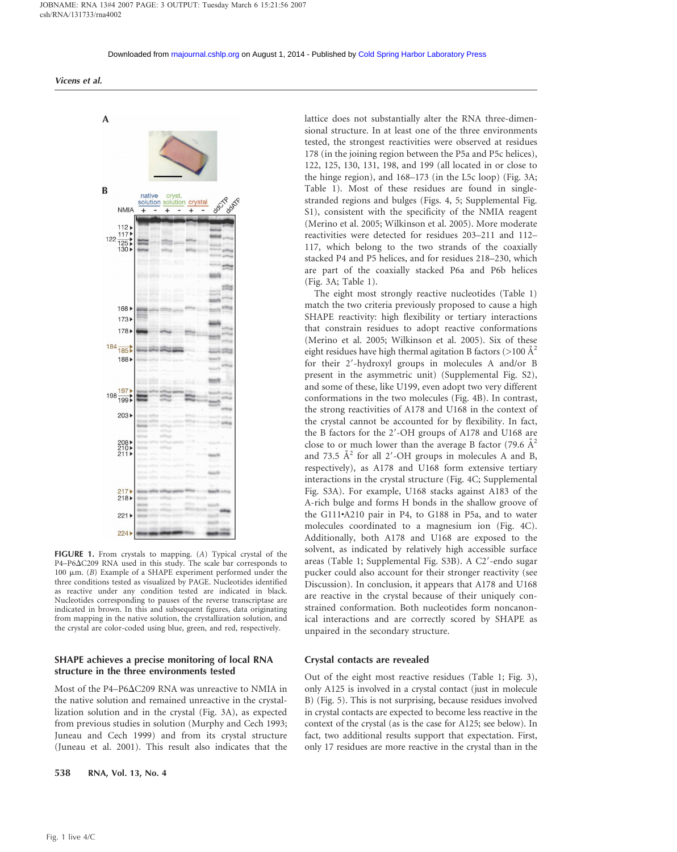

FIGURE 1. From crystals to mapping. (A) Typical crystal of the  $P4-P6\Delta C209$  RNA used in this study. The scale bar corresponds to 100  $\mu$ m. (B) Example of a SHAPE experiment performed under the three conditions tested as visualized by PAGE. Nucleotides identified as reactive under any condition tested are indicated in black. Nucleotides corresponding to pauses of the reverse transcriptase are indicated in brown. In this and subsequent figures, data originating from mapping in the native solution, the crystallization solution, and the crystal are color-coded using blue, green, and red, respectively.

# SHAPE achieves a precise monitoring of local RNA structure in the three environments tested

Most of the P4–P6 $\Delta$ C209 RNA was unreactive to NMIA in the native solution and remained unreactive in the crystallization solution and in the crystal (Fig. 3A), as expected from previous studies in solution (Murphy and Cech 1993; Juneau and Cech 1999) and from its crystal structure (Juneau et al. 2001). This result also indicates that the lattice does not substantially alter the RNA three-dimensional structure. In at least one of the three environments tested, the strongest reactivities were observed at residues 178 (in the joining region between the P5a and P5c helices), 122, 125, 130, 131, 198, and 199 (all located in or close to the hinge region), and 168–173 (in the L5c loop) (Fig. 3A; Table 1). Most of these residues are found in singlestranded regions and bulges (Figs. 4, 5; Supplemental Fig. S1), consistent with the specificity of the NMIA reagent (Merino et al. 2005; Wilkinson et al. 2005). More moderate reactivities were detected for residues 203–211 and 112– 117, which belong to the two strands of the coaxially stacked P4 and P5 helices, and for residues 218–230, which are part of the coaxially stacked P6a and P6b helices (Fig. 3A; Table 1).

The eight most strongly reactive nucleotides (Table 1) match the two criteria previously proposed to cause a high SHAPE reactivity: high flexibility or tertiary interactions that constrain residues to adopt reactive conformations (Merino et al. 2005; Wilkinson et al. 2005). Six of these eight residues have high thermal agitation B factors  $(>100 \text{ A}^2)$ for their 2'-hydroxyl groups in molecules A and/or B present in the asymmetric unit) (Supplemental Fig. S2), and some of these, like U199, even adopt two very different conformations in the two molecules (Fig. 4B). In contrast, the strong reactivities of A178 and U168 in the context of the crystal cannot be accounted for by flexibility. In fact, the B factors for the 2'-OH groups of A178 and U168 are close to or much lower than the average B factor (79.6  $\AA$ <sup>2</sup> and 73.5  $\AA^2$  for all 2'-OH groups in molecules A and B, respectively), as A178 and U168 form extensive tertiary interactions in the crystal structure (Fig. 4C; Supplemental Fig. S3A). For example, U168 stacks against A183 of the A-rich bulge and forms H bonds in the shallow groove of the G111.A210 pair in P4, to G188 in P5a, and to water molecules coordinated to a magnesium ion (Fig. 4C). Additionally, both A178 and U168 are exposed to the solvent, as indicated by relatively high accessible surface areas (Table 1; Supplemental Fig. S3B). A C2'-endo sugar pucker could also account for their stronger reactivity (see Discussion). In conclusion, it appears that A178 and U168 are reactive in the crystal because of their uniquely constrained conformation. Both nucleotides form noncanonical interactions and are correctly scored by SHAPE as unpaired in the secondary structure.

#### Crystal contacts are revealed

Out of the eight most reactive residues (Table 1; Fig. 3), only A125 is involved in a crystal contact (just in molecule B) (Fig. 5). This is not surprising, because residues involved in crystal contacts are expected to become less reactive in the context of the crystal (as is the case for A125; see below). In fact, two additional results support that expectation. First, only 17 residues are more reactive in the crystal than in the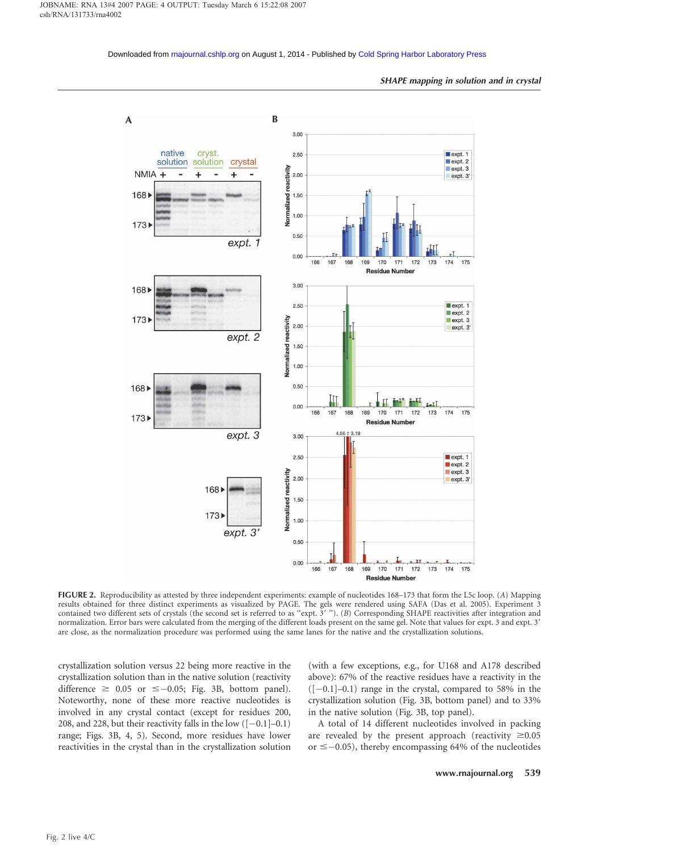

FIGURE 2. Reproducibility as attested by three independent experiments: example of nucleotides 168–173 that form the L5c loop. (A) Mapping results obtained for three distinct experiments as visualized by PAGE. The gels were rendered using SAFA (Das et al. 2005). Experiment 3 contained two different sets of crystals (the second set is referred to as "expt. 3'"). (B) Corresponding SHAPE reactivities after integration and normalization. Error bars were calculated from the merging of the different loads present on the same gel. Note that values for expt. 3 and expt. 3' are close, as the normalization procedure was performed using the same lanes for the native and the crystallization solutions.

crystallization solution versus 22 being more reactive in the crystallization solution than in the native solution (reactivity difference  $\geq 0.05$  or  $\leq -0.05$ ; Fig. 3B, bottom panel). Noteworthy, none of these more reactive nucleotides is involved in any crystal contact (except for residues 200, 208, and 228, but their reactivity falls in the low  $([-0.1] - 0.1)$ range; Figs. 3B, 4, 5). Second, more residues have lower reactivities in the crystal than in the crystallization solution (with a few exceptions, e.g., for U168 and A178 described above): 67% of the reactive residues have a reactivity in the  $([-0.1]$ –0.1) range in the crystal, compared to 58% in the crystallization solution (Fig. 3B, bottom panel) and to 33% in the native solution (Fig. 3B, top panel).

A total of 14 different nucleotides involved in packing are revealed by the present approach (reactivity  $\geq 0.05$ ) or  $\leq$  -0.05), thereby encompassing 64% of the nucleotides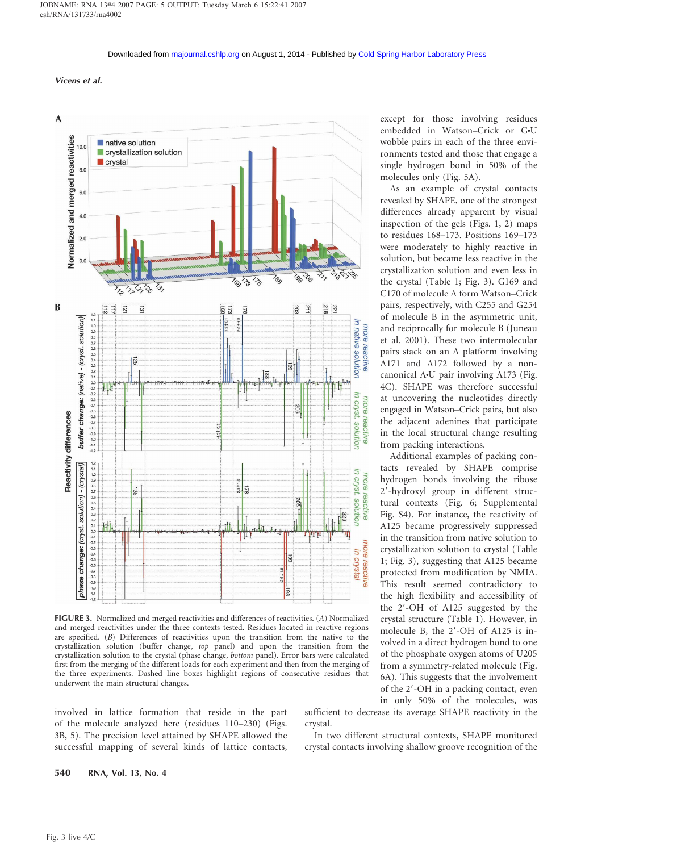

FIGURE 3. Normalized and merged reactivities and differences of reactivities. (A) Normalized and merged reactivities under the three contexts tested. Residues located in reactive regions are specified. (B) Differences of reactivities upon the transition from the native to the crystallization solution (buffer change, top panel) and upon the transition from the crystallization solution to the crystal (phase change, bottom panel). Error bars were calculated first from the merging of the different loads for each experiment and then from the merging of the three experiments. Dashed line boxes highlight regions of consecutive residues that underwent the main structural changes.

involved in lattice formation that reside in the part of the molecule analyzed here (residues 110–230) (Figs. 3B, 5). The precision level attained by SHAPE allowed the successful mapping of several kinds of lattice contacts, except for those involving residues embedded in Watson-Crick or G·U wobble pairs in each of the three environments tested and those that engage a single hydrogen bond in 50% of the molecules only (Fig. 5A).

As an example of crystal contacts revealed by SHAPE, one of the strongest differences already apparent by visual inspection of the gels (Figs. 1, 2) maps to residues 168–173. Positions 169–173 were moderately to highly reactive in solution, but became less reactive in the crystallization solution and even less in the crystal (Table 1; Fig. 3). G169 and C170 of molecule A form Watson–Crick pairs, respectively, with C255 and G254 of molecule B in the asymmetric unit, and reciprocally for molecule B (Juneau et al. 2001). These two intermolecular pairs stack on an A platform involving A171 and A172 followed by a noncanonical A.U pair involving A173 (Fig. 4C). SHAPE was therefore successful at uncovering the nucleotides directly engaged in Watson–Crick pairs, but also the adjacent adenines that participate in the local structural change resulting from packing interactions.

Additional examples of packing contacts revealed by SHAPE comprise hydrogen bonds involving the ribose 2'-hydroxyl group in different structural contexts (Fig. 6; Supplemental Fig. S4). For instance, the reactivity of A125 became progressively suppressed in the transition from native solution to crystallization solution to crystal (Table 1; Fig. 3), suggesting that A125 became protected from modification by NMIA. This result seemed contradictory to the high flexibility and accessibility of the  $2'$ -OH of A125 suggested by the crystal structure (Table 1). However, in molecule B, the 2'-OH of A125 is involved in a direct hydrogen bond to one of the phosphate oxygen atoms of U205 from a symmetry-related molecule (Fig. 6A). This suggests that the involvement of the 2'-OH in a packing contact, even in only 50% of the molecules, was

sufficient to decrease its average SHAPE reactivity in the crystal.

In two different structural contexts, SHAPE monitored crystal contacts involving shallow groove recognition of the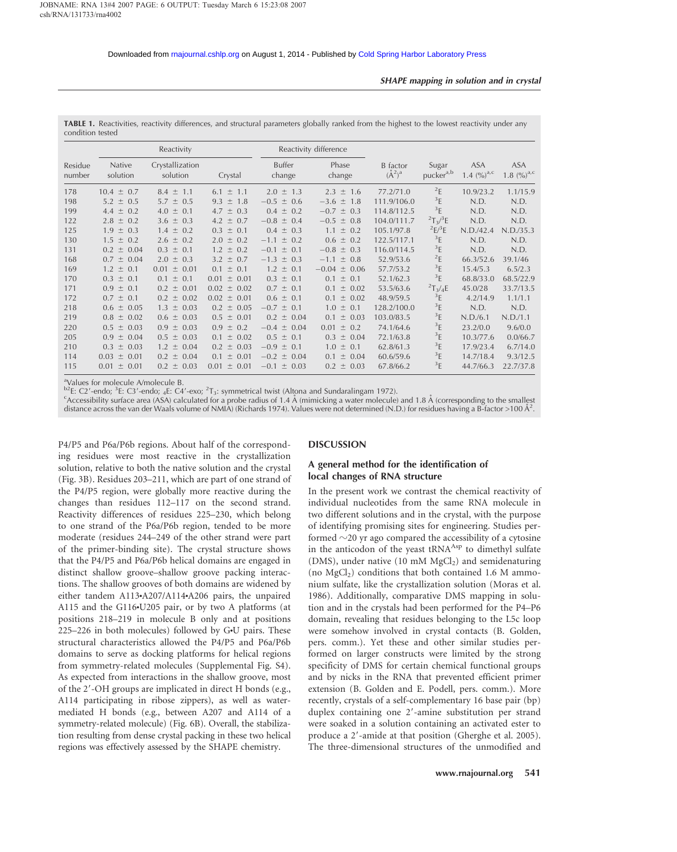|                   | Reactivity         |                             |                    | Reactivity difference |                   |                         |                                |                                |                                |
|-------------------|--------------------|-----------------------------|--------------------|-----------------------|-------------------|-------------------------|--------------------------------|--------------------------------|--------------------------------|
| Residue<br>number | Native<br>solution | Crystallization<br>solution | Crystal            | Buffer<br>change      | Phase<br>change   | B factor<br>$(\AA^2)^a$ | Sugar<br>pucker <sup>a,b</sup> | <b>ASA</b><br>1.4 $(\%)^{a,c}$ | <b>ASA</b><br>1.8 $(\%)^{a,c}$ |
| 178               | $10.4 \pm 0.7$     | $8.4 \pm 1.1$               | $6.1 \pm 1.1$      | $2.0 \pm 1.3$         | $2.3 \pm 1.6$     | 77.2/71.0               | 2E                             | 10.9/23.2                      | 1.1/15.9                       |
| 198               | $5.2 \pm 0.5$      | $5.7 \pm 0.5$               | $9.3 \pm 1.8$      | $-0.5 \pm 0.6$        | $-3.6 \pm 1.8$    | 111.9/106.0             | ${}^{3}E$                      | N.D.                           | N.D.                           |
| 199               | $4.4 \pm 0.2$      | $4.0 \pm$<br>0.1            | $4.7 \pm 0.3$      | $0.4 \pm 0.2$         | $-0.7 \pm 0.3$    | 114.8/112.5             | ${}^{3}F$                      | N.D.                           | N.D.                           |
| 122               | $2.8 \pm 0.2$      | $3.6 \pm 0.3$               | 4.2 $\pm$ 0.7      | $-0.8 \pm 0.4$        | $-0.5 \pm 0.8$    | 104.0/111.7             | $^{2}T_{3}/^{3}E$              | N.D.                           | N.D.                           |
| 125               | $1.9 \pm 0.3$      | $1.4 \pm 0.2$               | $0.3 \pm 0.1$      | $0.4 \pm 0.3$         | $1.1 \pm 0.2$     | 105.1/97.8              | $E^2E^3E$                      | N.D./42.4                      | N.D./35.3                      |
| 130               | $1.5 \pm 0.2$      | $2.6 \pm 0.2$               | $2.0 \pm 0.2$      | $-1.1 \pm 0.2$        | $0.6 \pm 0.2$     | 122.5/117.1             | 3E                             | N.D.                           | N.D.                           |
| 131               | $0.2 \pm 0.04$     | $0.3 \pm 0.1$               | $1.2 \pm 0.2$      | $-0.1 \pm 0.1$        | $-0.8 \pm 0.3$    | 116.0/114.5             | ${}^{3}E$                      | N.D.                           | N.D.                           |
| 168               | $0.7 \pm 0.04$     | $2.0 \pm 0.3$               | $3.2 \pm 0.7$      | $-1.3 \pm 0.3$        | $-1.1 \pm 0.8$    | 52.9/53.6               | 2E                             | 66.3/52.6                      | 39.1/46                        |
| 169               | $1.2 \pm 0.1$      | $0.01 \pm$<br>0.01          | $0.1 \pm 0.1$      | $1.2 \pm 0.1$         | $-0.04 \pm 0.06$  | 57.7/53.2               | ${}^{3}E$                      | 15.4/5.3                       | 6.5/2.3                        |
| 170               | 0.1<br>$0.3 \pm$   | $0.1 \pm 0.1$               | $0.01 \pm 0.01$    | $0.3 \pm 0.1$         | $0.1 \pm 0.1$     | 52.1/62.3               | ${}^{3}F$                      | 68.8/33.0                      | 68.5/22.9                      |
| 171               | $0.9 \pm$<br>0.1   | $0.2 \pm$<br>0.01           | $0.02 \pm 0.02$    | $0.7 \pm 0.1$         | $0.1 \pm 0.02$    | 53.5/63.6               | ${}^{2}T_{3}/_{4}E$            | 45.0/28                        | 33.7/13.5                      |
| 172               | 0.1<br>$0.7 \pm$   | $0.2 \pm 0.02$              | $0.02 \pm 0.01$    | $0.6 \pm 0.1$         | $0.1 \pm 0.02$    | 48.9/59.5               | 3E                             | 4.2/14.9                       | 1.1/1.1                        |
| 218               | $0.6 \pm 0.05$     | $1.3 \pm 0.03$              | $0.2 \pm 0.05$     | $-0.7 \pm 0.1$        | $1.0 \pm$<br>0.1  | 128.2/100.0             | ${}^{3}E$                      | N.D.                           | N.D.                           |
| 219               | $0.8 \pm 0.02$     | $0.6 \pm 0.03$              | $0.5 \pm 0.01$     | $0.2 \pm 0.04$        | 0.03<br>$0.1 \pm$ | 103.0/83.5              | ${}^{3}E$                      | N.D./6.1                       | N.D./1.1                       |
| 220               | $0.5 \pm 0.03$     | $0.9 \pm$<br>0.03           | $0.9 \pm 0.2$      | $-0.4 \pm 0.04$       | $0.01 \pm 0.2$    | 74.1/64.6               | 3E                             | 23.2/0.0                       | 9.6/0.0                        |
| 205               | 0.04<br>$0.9 \pm$  | $0.5 \pm$<br>0.03           | $0.1 \pm 0.02$     | $0.5 \pm 0.1$         | 0.04<br>$0.3 \pm$ | 72.1/63.8               | ${}^{3}E$                      | 10.3/77.6                      | 0.0/66.7                       |
| 210               | $0.3 \pm 0.03$     | $1.2 \pm 0.04$              | $0.2 \pm 0.03$     | $-0.9 \pm 0.1$        | $1.0 \pm 0.1$     | 62.8/61.3               | 3E                             | 17.9/23.4                      | 6.7/14.0                       |
| 114               | $0.03 \pm$<br>0.01 | $0.2 \pm$<br>0.04           | $0.1 \pm 0.01$     | $-0.2 \pm 0.04$       | 0.04<br>$0.1 \pm$ | 60.6/59.6               | ${}^{3}E$                      | 14.7/18.4                      | 9.3/12.5                       |
| 115               | $0.01 \pm 0.01$    | $0.2 \pm$<br>0.03           | 0.01<br>$\pm$ 0.01 | $-0.1 \pm 0.03$       | $0.2 \pm 0.03$    | 67.8/66.2               | $\rm{^{3}E}$                   | 44.7/66.3                      | 22.7/37.8                      |

TABLE 1. Reactivities, reactivity differences, and structural parameters globally ranked from the highest to the lowest reactivity under any condition tested

a Values for molecule A/molecule B.

<sup>b2</sup>E: C2'-endo; <sup>3</sup>E: C3'-endo; <sub>4</sub>E: C4'-exo; <sup>2</sup>T<sub>3</sub>: symmetrical twist (Altona and Sundaralingam 1972).<br><sup>C</sup>Accossibility surface area (ASA) calculated for a probe radius of 1.4 Å (mimicking a water melocule)

 $c^2$ Accessibility surface area (ASA) calculated for a probe radius of 1.4 Å (mimicking a water molecule) and 1.8 Å (corresponding to the smallest distance across the van der Waals volume of NMIA) (Richards 1974). Values were not determined (N.D.) for residues having a B-factor >100 Å<sup>2</sup>.

P4/P5 and P6a/P6b regions. About half of the corresponding residues were most reactive in the crystallization solution, relative to both the native solution and the crystal (Fig. 3B). Residues 203–211, which are part of one strand of the P4/P5 region, were globally more reactive during the changes than residues 112–117 on the second strand. Reactivity differences of residues 225–230, which belong to one strand of the P6a/P6b region, tended to be more moderate (residues 244–249 of the other strand were part of the primer-binding site). The crystal structure shows that the P4/P5 and P6a/P6b helical domains are engaged in distinct shallow groove–shallow groove packing interactions. The shallow grooves of both domains are widened by either tandem A113.A207/A114.A206 pairs, the unpaired A115 and the G116 $\cdot$ U205 pair, or by two A platforms (at positions 218–219 in molecule B only and at positions  $225-226$  in both molecules) followed by G $\cdot$ U pairs. These structural characteristics allowed the P4/P5 and P6a/P6b domains to serve as docking platforms for helical regions from symmetry-related molecules (Supplemental Fig. S4). As expected from interactions in the shallow groove, most of the 2'-OH groups are implicated in direct H bonds (e.g., A114 participating in ribose zippers), as well as watermediated H bonds (e.g., between A207 and A114 of a symmetry-related molecule) (Fig. 6B). Overall, the stabilization resulting from dense crystal packing in these two helical regions was effectively assessed by the SHAPE chemistry.

#### DISCUSSION

#### A general method for the identification of local changes of RNA structure

In the present work we contrast the chemical reactivity of individual nucleotides from the same RNA molecule in two different solutions and in the crystal, with the purpose of identifying promising sites for engineering. Studies performed  $\sim$ 20 yr ago compared the accessibility of a cytosine in the anticodon of the yeast tRNA<sup>Asp</sup> to dimethyl sulfate (DMS), under native (10 mM  $MgCl<sub>2</sub>$ ) and semidenaturing (no  $MgCl<sub>2</sub>$ ) conditions that both contained 1.6 M ammonium sulfate, like the crystallization solution (Moras et al. 1986). Additionally, comparative DMS mapping in solution and in the crystals had been performed for the P4–P6 domain, revealing that residues belonging to the L5c loop were somehow involved in crystal contacts (B. Golden, pers. comm.). Yet these and other similar studies performed on larger constructs were limited by the strong specificity of DMS for certain chemical functional groups and by nicks in the RNA that prevented efficient primer extension (B. Golden and E. Podell, pers. comm.). More recently, crystals of a self-complementary 16 base pair (bp) duplex containing one 2'-amine substitution per strand were soaked in a solution containing an activated ester to produce a 2'-amide at that position (Gherghe et al. 2005). The three-dimensional structures of the unmodified and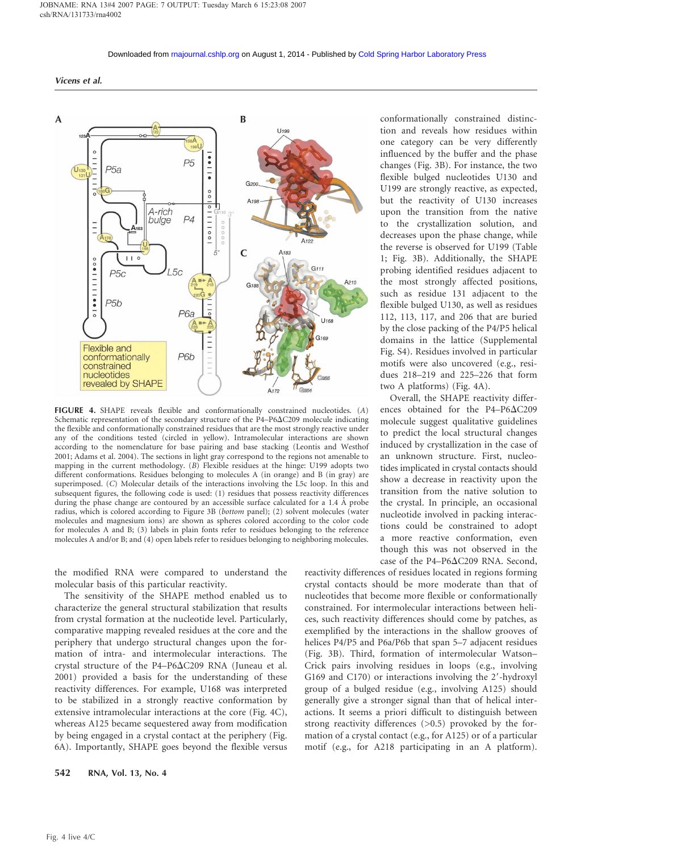

FIGURE 4. SHAPE reveals flexible and conformationally constrained nucleotides. (A) Schematic representation of the secondary structure of the  $P4-P6\Delta C209$  molecule indicating the flexible and conformationally constrained residues that are the most strongly reactive under any of the conditions tested (circled in yellow). Intramolecular interactions are shown according to the nomenclature for base pairing and base stacking (Leontis and Westhof 2001; Adams et al. 2004). The sections in light gray correspond to the regions not amenable to mapping in the current methodology. (B) Flexible residues at the hinge: U199 adopts two different conformations. Residues belonging to molecules A (in orange) and B (in gray) are superimposed. (C) Molecular details of the interactions involving the L5c loop. In this and subsequent figures, the following code is used: (1) residues that possess reactivity differences during the phase change are contoured by an accessible surface calculated for a 1.4 Å probe radius, which is colored according to Figure 3B (bottom panel); (2) solvent molecules (water molecules and magnesium ions) are shown as spheres colored according to the color code for molecules A and B; (3) labels in plain fonts refer to residues belonging to the reference molecules A and/or B; and (4) open labels refer to residues belonging to neighboring molecules.

the modified RNA were compared to understand the molecular basis of this particular reactivity.

The sensitivity of the SHAPE method enabled us to characterize the general structural stabilization that results from crystal formation at the nucleotide level. Particularly, comparative mapping revealed residues at the core and the periphery that undergo structural changes upon the formation of intra- and intermolecular interactions. The crystal structure of the P4–P6 $\Delta$ C209 RNA (Juneau et al. 2001) provided a basis for the understanding of these reactivity differences. For example, U168 was interpreted to be stabilized in a strongly reactive conformation by extensive intramolecular interactions at the core (Fig. 4C), whereas A125 became sequestered away from modification by being engaged in a crystal contact at the periphery (Fig. 6A). Importantly, SHAPE goes beyond the flexible versus conformationally constrained distinction and reveals how residues within one category can be very differently influenced by the buffer and the phase changes (Fig. 3B). For instance, the two flexible bulged nucleotides U130 and U199 are strongly reactive, as expected, but the reactivity of U130 increases upon the transition from the native to the crystallization solution, and decreases upon the phase change, while the reverse is observed for U199 (Table 1; Fig. 3B). Additionally, the SHAPE probing identified residues adjacent to the most strongly affected positions, such as residue 131 adjacent to the flexible bulged U130, as well as residues 112, 113, 117, and 206 that are buried by the close packing of the P4/P5 helical domains in the lattice (Supplemental Fig. S4). Residues involved in particular motifs were also uncovered (e.g., residues 218–219 and 225–226 that form two A platforms) (Fig. 4A).

Overall, the SHAPE reactivity differences obtained for the P4–P6 $\Delta$ C209 molecule suggest qualitative guidelines to predict the local structural changes induced by crystallization in the case of an unknown structure. First, nucleotides implicated in crystal contacts should show a decrease in reactivity upon the transition from the native solution to the crystal. In principle, an occasional nucleotide involved in packing interactions could be constrained to adopt a more reactive conformation, even though this was not observed in the case of the P4–P6 $\Delta$ C209 RNA. Second,

reactivity differences of residues located in regions forming crystal contacts should be more moderate than that of nucleotides that become more flexible or conformationally constrained. For intermolecular interactions between helices, such reactivity differences should come by patches, as exemplified by the interactions in the shallow grooves of helices P4/P5 and P6a/P6b that span 5–7 adjacent residues (Fig. 3B). Third, formation of intermolecular Watson– Crick pairs involving residues in loops (e.g., involving G169 and C170) or interactions involving the  $2'$ -hydroxyl group of a bulged residue (e.g., involving A125) should generally give a stronger signal than that of helical interactions. It seems a priori difficult to distinguish between strong reactivity differences  $(>0.5)$  provoked by the formation of a crystal contact (e.g., for A125) or of a particular motif (e.g., for A218 participating in an A platform).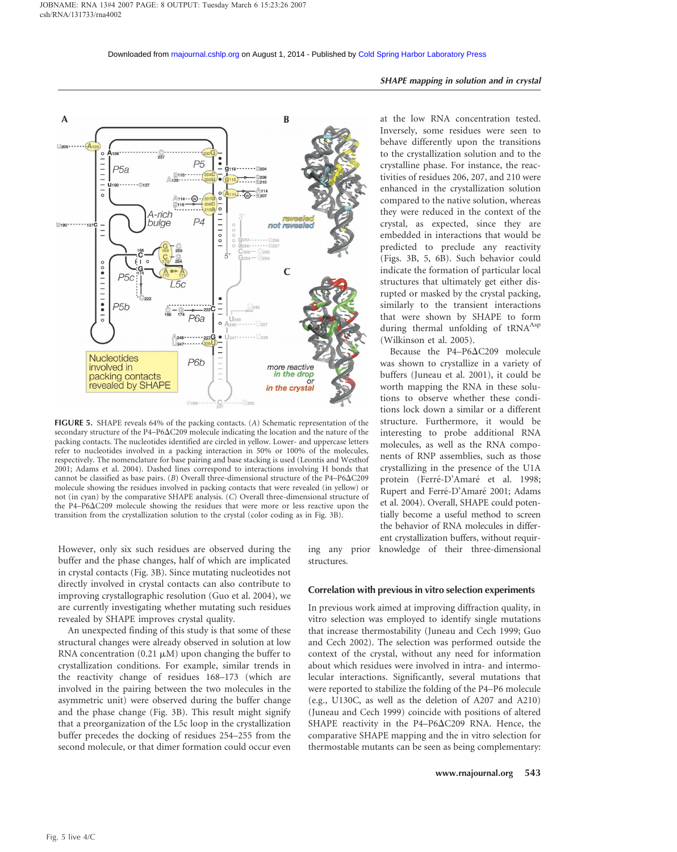

FIGURE 5. SHAPE reveals 64% of the packing contacts. (A) Schematic representation of the secondary structure of the P4–P6 $\Delta$ C209 molecule indicating the location and the nature of the packing contacts. The nucleotides identified are circled in yellow. Lower- and uppercase letters refer to nucleotides involved in a packing interaction in 50% or 100% of the molecules, respectively. The nomenclature for base pairing and base stacking is used (Leontis and Westhof 2001; Adams et al. 2004). Dashed lines correspond to interactions involving H bonds that cannot be classified as base pairs. (B) Overall three-dimensional structure of the P4–P6 $\Delta$ C209 molecule showing the residues involved in packing contacts that were revealed (in yellow) or not (in cyan) by the comparative SHAPE analysis. (C) Overall three-dimensional structure of the P4–P6 $\Delta$ C209 molecule showing the residues that were more or less reactive upon the transition from the crystallization solution to the crystal (color coding as in Fig. 3B).

However, only six such residues are observed during the buffer and the phase changes, half of which are implicated in crystal contacts (Fig. 3B). Since mutating nucleotides not directly involved in crystal contacts can also contribute to improving crystallographic resolution (Guo et al. 2004), we are currently investigating whether mutating such residues revealed by SHAPE improves crystal quality.

An unexpected finding of this study is that some of these structural changes were already observed in solution at low RNA concentration (0.21  $\mu$ M) upon changing the buffer to crystallization conditions. For example, similar trends in the reactivity change of residues 168–173 (which are involved in the pairing between the two molecules in the asymmetric unit) were observed during the buffer change and the phase change (Fig. 3B). This result might signify that a preorganization of the L5c loop in the crystallization buffer precedes the docking of residues 254–255 from the second molecule, or that dimer formation could occur even structures.

#### Correlation with previous in vitro selection experiments

In previous work aimed at improving diffraction quality, in vitro selection was employed to identify single mutations that increase thermostability (Juneau and Cech 1999; Guo and Cech 2002). The selection was performed outside the context of the crystal, without any need for information about which residues were involved in intra- and intermolecular interactions. Significantly, several mutations that were reported to stabilize the folding of the P4–P6 molecule (e.g., U130C, as well as the deletion of A207 and A210) (Juneau and Cech 1999) coincide with positions of altered SHAPE reactivity in the P4–P6 $\Delta$ C209 RNA. Hence, the comparative SHAPE mapping and the in vitro selection for thermostable mutants can be seen as being complementary:

at the low RNA concentration tested. Inversely, some residues were seen to behave differently upon the transitions to the crystallization solution and to the crystalline phase. For instance, the reactivities of residues 206, 207, and 210 were enhanced in the crystallization solution compared to the native solution, whereas they were reduced in the context of the crystal, as expected, since they are embedded in interactions that would be predicted to preclude any reactivity (Figs. 3B, 5, 6B). Such behavior could indicate the formation of particular local structures that ultimately get either disrupted or masked by the crystal packing, similarly to the transient interactions that were shown by SHAPE to form during thermal unfolding of  $tRNA<sup>Asp</sup>$ (Wilkinson et al. 2005).

Because the P4-P6 $\Delta$ C209 molecule was shown to crystallize in a variety of buffers (Juneau et al. 2001), it could be worth mapping the RNA in these solutions to observe whether these conditions lock down a similar or a different structure. Furthermore, it would be interesting to probe additional RNA molecules, as well as the RNA components of RNP assemblies, such as those crystallizing in the presence of the U1A protein (Ferré-D'Amaré et al. 1998; Rupert and Ferré-D'Amaré 2001; Adams et al. 2004). Overall, SHAPE could potentially become a useful method to screen the behavior of RNA molecules in different crystallization buffers, without requiring any prior knowledge of their three-dimensional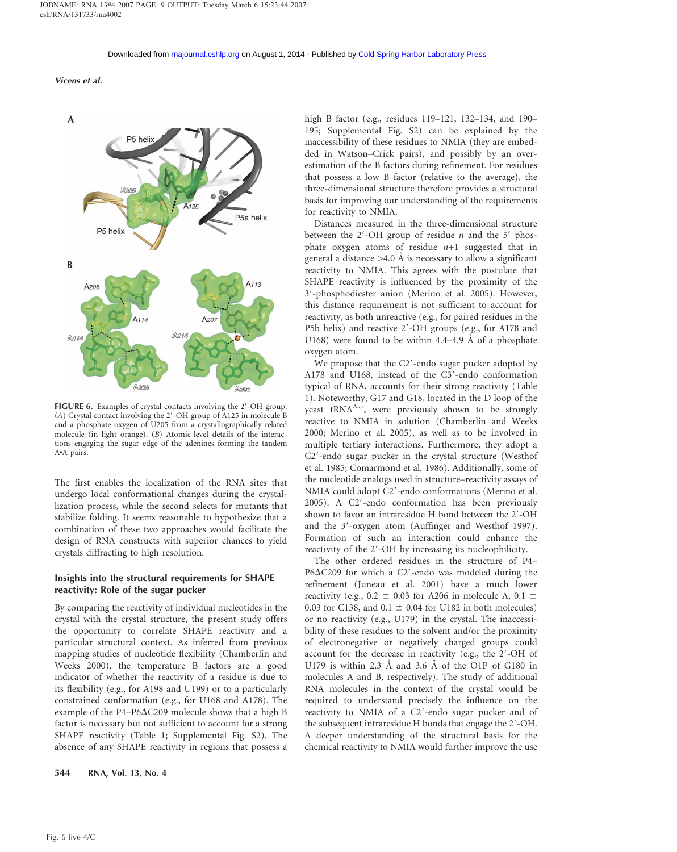

FIGURE 6. Examples of crystal contacts involving the 2'-OH group. (A) Crystal contact involving the  $2'$ -OH group of A125 in molecule B and a phosphate oxygen of U205 from a crystallographically related molecule (in light orange). (B) Atomic-level details of the interactions engaging the sugar edge of the adenines forming the tandem A.A pairs.

The first enables the localization of the RNA sites that undergo local conformational changes during the crystallization process, while the second selects for mutants that stabilize folding. It seems reasonable to hypothesize that a combination of these two approaches would facilitate the design of RNA constructs with superior chances to yield crystals diffracting to high resolution.

# Insights into the structural requirements for SHAPE reactivity: Role of the sugar pucker

By comparing the reactivity of individual nucleotides in the crystal with the crystal structure, the present study offers the opportunity to correlate SHAPE reactivity and a particular structural context. As inferred from previous mapping studies of nucleotide flexibility (Chamberlin and Weeks 2000), the temperature B factors are a good indicator of whether the reactivity of a residue is due to its flexibility (e.g., for A198 and U199) or to a particularly constrained conformation (e.g., for U168 and A178). The example of the P4-P6 $\Delta$ C209 molecule shows that a high B factor is necessary but not sufficient to account for a strong SHAPE reactivity (Table 1; Supplemental Fig. S2). The absence of any SHAPE reactivity in regions that possess a high B factor (e.g., residues 119–121, 132–134, and 190– 195; Supplemental Fig. S2) can be explained by the inaccessibility of these residues to NMIA (they are embedded in Watson–Crick pairs), and possibly by an overestimation of the B factors during refinement. For residues that possess a low B factor (relative to the average), the three-dimensional structure therefore provides a structural basis for improving our understanding of the requirements for reactivity to NMIA.

Distances measured in the three-dimensional structure between the  $2'$ -OH group of residue *n* and the 5' phosphate oxygen atoms of residue  $n+1$  suggested that in general a distance  $>4.0$  Å is necessary to allow a significant reactivity to NMIA. This agrees with the postulate that SHAPE reactivity is influenced by the proximity of the 3'-phosphodiester anion (Merino et al. 2005). However, this distance requirement is not sufficient to account for reactivity, as both unreactive (e.g., for paired residues in the P5b helix) and reactive  $2'$ -OH groups (e.g., for A178 and U168) were found to be within  $4.4-4.9$  Å of a phosphate oxygen atom.

We propose that the C2'-endo sugar pucker adopted by A178 and U168, instead of the C3'-endo conformation typical of RNA, accounts for their strong reactivity (Table 1). Noteworthy, G17 and G18, located in the D loop of the yeast tRNA<sup>Asp</sup>, were previously shown to be strongly reactive to NMIA in solution (Chamberlin and Weeks 2000; Merino et al. 2005), as well as to be involved in multiple tertiary interactions. Furthermore, they adopt a C2'-endo sugar pucker in the crystal structure (Westhof et al. 1985; Comarmond et al. 1986). Additionally, some of the nucleotide analogs used in structure–reactivity assays of NMIA could adopt C2'-endo conformations (Merino et al. 2005). A C2'-endo conformation has been previously shown to favor an intraresidue H bond between the 2'-OH and the 3'-oxygen atom (Auffinger and Westhof 1997). Formation of such an interaction could enhance the reactivity of the 2'-OH by increasing its nucleophilicity.

The other ordered residues in the structure of P4– P6 $\Delta$ C209 for which a C2'-endo was modeled during the refinement (Juneau et al. 2001) have a much lower reactivity (e.g., 0.2  $\pm$  0.03 for A206 in molecule A, 0.1  $\pm$ 0.03 for C138, and  $0.1 \pm 0.04$  for U182 in both molecules) or no reactivity (e.g., U179) in the crystal. The inaccessibility of these residues to the solvent and/or the proximity of electronegative or negatively charged groups could account for the decrease in reactivity (e.g., the  $2'$ -OH of U179 is within 2.3  $\AA$  and 3.6  $\AA$  of the O1P of G180 in molecules A and B, respectively). The study of additional RNA molecules in the context of the crystal would be required to understand precisely the influence on the reactivity to NMIA of a C2'-endo sugar pucker and of the subsequent intraresidue H bonds that engage the 2'-OH. A deeper understanding of the structural basis for the chemical reactivity to NMIA would further improve the use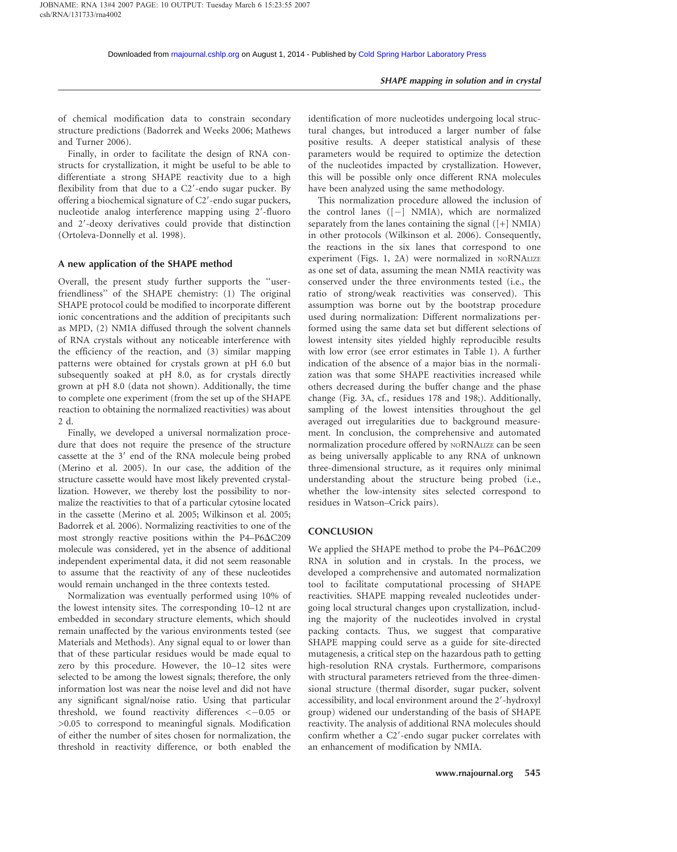of chemical modification data to constrain secondary structure predictions (Badorrek and Weeks 2006; Mathews and Turner 2006).

Finally, in order to facilitate the design of RNA constructs for crystallization, it might be useful to be able to differentiate a strong SHAPE reactivity due to a high flexibility from that due to a  $C2'$ -endo sugar pucker. By offering a biochemical signature of  $C2'$ -endo sugar puckers, nucleotide analog interference mapping using 2'-fluoro and 2'-deoxy derivatives could provide that distinction (Ortoleva-Donnelly et al. 1998).

#### A new application of the SHAPE method

Overall, the present study further supports the ''userfriendliness'' of the SHAPE chemistry: (1) The original SHAPE protocol could be modified to incorporate different ionic concentrations and the addition of precipitants such as MPD, (2) NMIA diffused through the solvent channels of RNA crystals without any noticeable interference with the efficiency of the reaction, and (3) similar mapping patterns were obtained for crystals grown at pH 6.0 but subsequently soaked at pH 8.0, as for crystals directly grown at pH 8.0 (data not shown). Additionally, the time to complete one experiment (from the set up of the SHAPE reaction to obtaining the normalized reactivities) was about 2 d.

Finally, we developed a universal normalization procedure that does not require the presence of the structure cassette at the 3' end of the RNA molecule being probed (Merino et al. 2005). In our case, the addition of the structure cassette would have most likely prevented crystallization. However, we thereby lost the possibility to normalize the reactivities to that of a particular cytosine located in the cassette (Merino et al. 2005; Wilkinson et al. 2005; Badorrek et al. 2006). Normalizing reactivities to one of the most strongly reactive positions within the P4–P6 $\Delta$ C209 molecule was considered, yet in the absence of additional independent experimental data, it did not seem reasonable to assume that the reactivity of any of these nucleotides would remain unchanged in the three contexts tested.

Normalization was eventually performed using 10% of the lowest intensity sites. The corresponding 10–12 nt are embedded in secondary structure elements, which should remain unaffected by the various environments tested (see Materials and Methods). Any signal equal to or lower than that of these particular residues would be made equal to zero by this procedure. However, the 10–12 sites were selected to be among the lowest signals; therefore, the only information lost was near the noise level and did not have any significant signal/noise ratio. Using that particular threshold, we found reactivity differences < -0.05 or >0.05 to correspond to meaningful signals. Modification of either the number of sites chosen for normalization, the threshold in reactivity difference, or both enabled the identification of more nucleotides undergoing local structural changes, but introduced a larger number of false positive results. A deeper statistical analysis of these parameters would be required to optimize the detection of the nucleotides impacted by crystallization. However, this will be possible only once different RNA molecules have been analyzed using the same methodology.

This normalization procedure allowed the inclusion of the control lanes ([-] NMIA), which are normalized separately from the lanes containing the signal ([+] NMIA) in other protocols (Wilkinson et al. 2006). Consequently, the reactions in the six lanes that correspond to one experiment (Figs. 1, 2A) were normalized in NORNALIZE as one set of data, assuming the mean NMIA reactivity was conserved under the three environments tested (i.e., the ratio of strong/weak reactivities was conserved). This assumption was borne out by the bootstrap procedure used during normalization: Different normalizations performed using the same data set but different selections of lowest intensity sites yielded highly reproducible results with low error (see error estimates in Table 1). A further indication of the absence of a major bias in the normalization was that some SHAPE reactivities increased while others decreased during the buffer change and the phase change (Fig. 3A, cf., residues 178 and 198;). Additionally, sampling of the lowest intensities throughout the gel averaged out irregularities due to background measurement. In conclusion, the comprehensive and automated normalization procedure offered by NORNALIZE can be seen as being universally applicable to any RNA of unknown three-dimensional structure, as it requires only minimal understanding about the structure being probed (i.e., whether the low-intensity sites selected correspond to residues in Watson–Crick pairs).

# **CONCLUSION**

We applied the SHAPE method to probe the P4–P6 $\Delta$ C209 RNA in solution and in crystals. In the process, we developed a comprehensive and automated normalization tool to facilitate computational processing of SHAPE reactivities. SHAPE mapping revealed nucleotides undergoing local structural changes upon crystallization, including the majority of the nucleotides involved in crystal packing contacts. Thus, we suggest that comparative SHAPE mapping could serve as a guide for site-directed mutagenesis, a critical step on the hazardous path to getting high-resolution RNA crystals. Furthermore, comparisons with structural parameters retrieved from the three-dimensional structure (thermal disorder, sugar pucker, solvent accessibility, and local environment around the 2'-hydroxyl group) widened our understanding of the basis of SHAPE reactivity. The analysis of additional RNA molecules should confirm whether a C2'-endo sugar pucker correlates with an enhancement of modification by NMIA.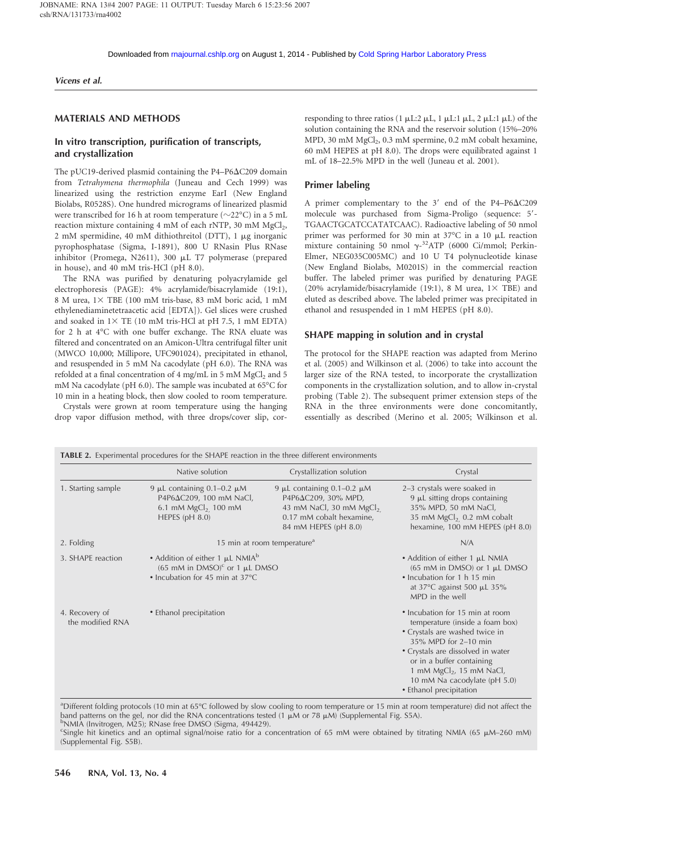# MATERIALS AND METHODS

### In vitro transcription, purification of transcripts, and crystallization

The pUC19-derived plasmid containing the P4–P6 $\Delta$ C209 domain from Tetrahymena thermophila (Juneau and Cech 1999) was linearized using the restriction enzyme EarI (New England Biolabs, R0528S). One hundred micrograms of linearized plasmid were transcribed for 16 h at room temperature ( $\sim$ 22°C) in a 5 mL reaction mixture containing 4 mM of each rNTP, 30 mM MgCl<sub>2</sub>, 2 mM spermidine, 40 mM dithiothreitol (DTT), 1  $\mu$ g inorganic pyrophosphatase (Sigma, I-1891), 800 U RNasin Plus RNase inhibitor (Promega, N2611), 300 mL T7 polymerase (prepared in house), and 40 mM tris-HCl (pH 8.0).

The RNA was purified by denaturing polyacrylamide gel electrophoresis (PAGE): 4% acrylamide/bisacrylamide (19:1), 8 M urea,  $1 \times$  TBE (100 mM tris-base, 83 mM boric acid, 1 mM ethylenediaminetetraacetic acid [EDTA]). Gel slices were crushed and soaked in  $1 \times$  TE (10 mM tris-HCl at pH 7.5, 1 mM EDTA) for 2 h at 4°C with one buffer exchange. The RNA eluate was filtered and concentrated on an Amicon-Ultra centrifugal filter unit (MWCO 10,000; Millipore, UFC901024), precipitated in ethanol, and resuspended in 5 mM Na cacodylate (pH 6.0). The RNA was refolded at a final concentration of 4 mg/mL in 5 mM  $MgCl<sub>2</sub>$  and 5 mM Na cacodylate (pH 6.0). The sample was incubated at 65°C for 10 min in a heating block, then slow cooled to room temperature.

Crystals were grown at room temperature using the hanging drop vapor diffusion method, with three drops/cover slip, corresponding to three ratios (1  $\mu$ L:2  $\mu$ L, 1  $\mu$ L:1  $\mu$ L, 2  $\mu$ L:1  $\mu$ L) of the solution containing the RNA and the reservoir solution (15%–20% MPD, 30 mM MgCl<sub>2</sub>, 0.3 mM spermine, 0.2 mM cobalt hexamine, 60 mM HEPES at pH 8.0). The drops were equilibrated against 1 mL of 18–22.5% MPD in the well (Juneau et al. 2001).

### Primer labeling

A primer complementary to the  $3'$  end of the P4–P6 $\Delta$ C209 molecule was purchased from Sigma-Proligo (sequence: 5'-TGAACTGCATCCATATCAAC). Radioactive labeling of 50 nmol primer was performed for 30 min at 37°C in a 10 µL reaction mixture containing 50 nmol  $\gamma$ -<sup>32</sup>ATP (6000 Ci/mmol; Perkin-Elmer, NEG035C005MC) and 10 U T4 polynucleotide kinase (New England Biolabs, M0201S) in the commercial reaction buffer. The labeled primer was purified by denaturing PAGE (20% acrylamide/bisacrylamide (19:1), 8 M urea,  $1\times$  TBE) and eluted as described above. The labeled primer was precipitated in ethanol and resuspended in 1 mM HEPES (pH 8.0).

#### SHAPE mapping in solution and in crystal

The protocol for the SHAPE reaction was adapted from Merino et al. (2005) and Wilkinson et al. (2006) to take into account the larger size of the RNA tested, to incorporate the crystallization components in the crystallization solution, and to allow in-crystal probing (Table 2). The subsequent primer extension steps of the RNA in the three environments were done concomitantly, essentially as described (Merino et al. 2005; Wilkinson et al.

|                                    | Native solution                                                                                                                           | Crystallization solution                                                                                                                                    | Crystal                                                                                                                                                                                                                                                                                 |  |
|------------------------------------|-------------------------------------------------------------------------------------------------------------------------------------------|-------------------------------------------------------------------------------------------------------------------------------------------------------------|-----------------------------------------------------------------------------------------------------------------------------------------------------------------------------------------------------------------------------------------------------------------------------------------|--|
| 1. Starting sample                 | 9 µL containing $0.1-0.2$ µM<br>P4P6 $\Delta$ C209, 100 mM NaCl,<br>6.1 mM MgCl <sub>2</sub> 100 mM<br>HEPES $(pH 8.0)$                   | 9 µL containing $0.1-0.2$ µM<br>P4P6ΔC209, 30% MPD,<br>43 mM NaCl, 30 mM MgCl <sub>2</sub><br>0.17 mM cobalt hexamine,<br>84 mM HEPES (pH 8.0)              | 2-3 crystals were soaked in<br>$9 \mu L$ sitting drops containing<br>35% MPD, 50 mM NaCl,<br>35 mM $MgCl2$ , 0.2 mM cobalt<br>hexamine, 100 mM HEPES (pH 8.0)                                                                                                                           |  |
| 2. Folding                         | 15 min at room temperature <sup>a</sup>                                                                                                   | N/A                                                                                                                                                         |                                                                                                                                                                                                                                                                                         |  |
| 3. SHAPE reaction                  | • Addition of either 1 $\mu$ L NMIA <sup>b</sup><br>$(65 \text{ mM in DMSO})^c$ or 1 µL DMSO<br>• Incubation for 45 min at $37^{\circ}$ C | • Addition of either 1 µL NMIA<br>(65 mM in DMSO) or 1 µL DMSO<br>• Incubation for 1 h 15 min<br>at $37^{\circ}$ C against 500 µL $35\%$<br>MPD in the well |                                                                                                                                                                                                                                                                                         |  |
| 4. Recovery of<br>the modified RNA | • Ethanol precipitation                                                                                                                   |                                                                                                                                                             | • Incubation for 15 min at room<br>temperature (inside a foam box)<br>• Crystals are washed twice in<br>35% MPD for 2-10 min<br>• Crystals are dissolved in water<br>or in a buffer containing<br>1 mM $MgCl2$ , 15 mM NaCl,<br>10 mM Na cacodylate (pH 5.0)<br>• Ethanol precipitation |  |

TABLE 2. Experimental procedures for the SHAPE reaction in the three different environments

a Different folding protocols (10 min at 65°C followed by slow cooling to room temperature or 15 min at room temperature) did not affect the band patterns on the gel, nor did the RNA concentrations tested (1 µM or 78 µM) (Supplemental Fig. S5A).<br><sup>b</sup>NMIA (Invitrogen, M25); RNase free DMSO (Sigma, 494429).

c Single hit kinetics and an optimal signal/noise ratio for a concentration of 65 mM were obtained by titrating NMIA (65 mM–260 mM) (Supplemental Fig. S5B).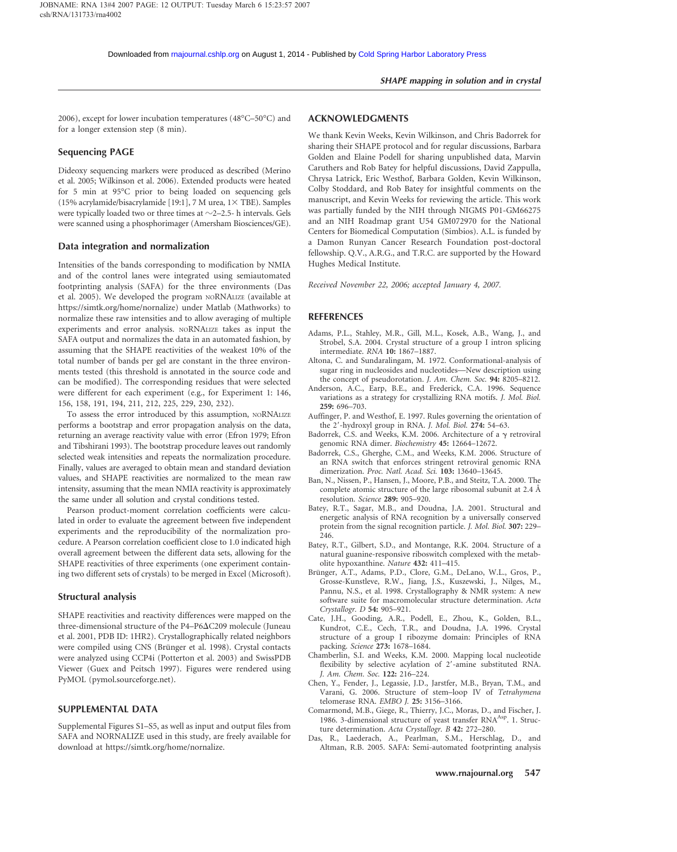2006), except for lower incubation temperatures (48°C–50°C) and for a longer extension step (8 min).

#### Sequencing PAGE

Dideoxy sequencing markers were produced as described (Merino et al. 2005; Wilkinson et al. 2006). Extended products were heated for 5 min at 95°C prior to being loaded on sequencing gels (15% acrylamide/bisacrylamide [19:1], 7 M urea,  $1\times$  TBE). Samples were typically loaded two or three times at  $\sim$ 2–2.5- h intervals. Gels were scanned using a phosphorimager (Amersham Biosciences/GE).

#### Data integration and normalization

Intensities of the bands corresponding to modification by NMIA and of the control lanes were integrated using semiautomated footprinting analysis (SAFA) for the three environments (Das et al. 2005). We developed the program NORNALIZE (available at https://simtk.org/home/nornalize) under Matlab (Mathworks) to normalize these raw intensities and to allow averaging of multiple experiments and error analysis. NORNALIZE takes as input the SAFA output and normalizes the data in an automated fashion, by assuming that the SHAPE reactivities of the weakest 10% of the total number of bands per gel are constant in the three environments tested (this threshold is annotated in the source code and can be modified). The corresponding residues that were selected were different for each experiment (e.g., for Experiment 1: 146, 156, 158, 191, 194, 211, 212, 225, 229, 230, 232).

To assess the error introduced by this assumption, NORNALIZE performs a bootstrap and error propagation analysis on the data, returning an average reactivity value with error (Efron 1979; Efron and Tibshirani 1993). The bootstrap procedure leaves out randomly selected weak intensities and repeats the normalization procedure. Finally, values are averaged to obtain mean and standard deviation values, and SHAPE reactivities are normalized to the mean raw intensity, assuming that the mean NMIA reactivity is approximately the same under all solution and crystal conditions tested.

Pearson product-moment correlation coefficients were calculated in order to evaluate the agreement between five independent experiments and the reproducibility of the normalization procedure. A Pearson correlation coefficient close to 1.0 indicated high overall agreement between the different data sets, allowing for the SHAPE reactivities of three experiments (one experiment containing two different sets of crystals) to be merged in Excel (Microsoft).

#### Structural analysis

SHAPE reactivities and reactivity differences were mapped on the three-dimensional structure of the P4–P6 $\Delta$ C209 molecule (Juneau et al. 2001, PDB ID: 1HR2). Crystallographically related neighbors were compiled using CNS (Brünger et al. 1998). Crystal contacts were analyzed using CCP4i (Potterton et al. 2003) and SwissPDB Viewer (Guex and Peitsch 1997). Figures were rendered using PyMOL (pymol.sourceforge.net).

#### SUPPLEMENTAL DATA

Supplemental Figures S1–S5, as well as input and output files from SAFA and NORNALIZE used in this study, are freely available for download at https://simtk.org/home/nornalize.

#### ACKNOWLEDGMENTS

We thank Kevin Weeks, Kevin Wilkinson, and Chris Badorrek for sharing their SHAPE protocol and for regular discussions, Barbara Golden and Elaine Podell for sharing unpublished data, Marvin Caruthers and Rob Batey for helpful discussions, David Zappulla, Chrysa Latrick, Eric Westhof, Barbara Golden, Kevin Wilkinson, Colby Stoddard, and Rob Batey for insightful comments on the manuscript, and Kevin Weeks for reviewing the article. This work was partially funded by the NIH through NIGMS P01-GM66275 and an NIH Roadmap grant U54 GM072970 for the National Centers for Biomedical Computation (Simbios). A.L. is funded by a Damon Runyan Cancer Research Foundation post-doctoral fellowship. Q.V., A.R.G., and T.R.C. are supported by the Howard Hughes Medical Institute.

Received November 22, 2006; accepted January 4, 2007.

#### REFERENCES

- Adams, P.L., Stahley, M.R., Gill, M.L., Kosek, A.B., Wang, J., and Strobel, S.A. 2004. Crystal structure of a group I intron splicing intermediate. RNA 10: 1867–1887.
- Altona, C. and Sundaralingam, M. 1972. Conformational-analysis of sugar ring in nucleosides and nucleotides—New description using the concept of pseudorotation. J. Am. Chem. Soc. 94: 8205-8212.
- Anderson, A.C., Earp, B.E., and Frederick, C.A. 1996. Sequence variations as a strategy for crystallizing RNA motifs. J. Mol. Biol. 259: 696–703.
- Auffinger, P. and Westhof, E. 1997. Rules governing the orientation of the 2'-hydroxyl group in RNA. J. Mol. Biol. 274: 54–63.
- Badorrek, C.S. and Weeks, K.M. 2006. Architecture of a  $\gamma$  retroviral genomic RNA dimer. Biochemistry 45: 12664–12672.
- Badorrek, C.S., Gherghe, C.M., and Weeks, K.M. 2006. Structure of an RNA switch that enforces stringent retroviral genomic RNA dimerization. Proc. Natl. Acad. Sci. 103: 13640–13645.
- Ban, N., Nissen, P., Hansen, J., Moore, P.B., and Steitz, T.A. 2000. The complete atomic structure of the large ribosomal subunit at 2.4 A resolution. Science 289: 905–920.
- Batey, R.T., Sagar, M.B., and Doudna, J.A. 2001. Structural and energetic analysis of RNA recognition by a universally conserved protein from the signal recognition particle. J. Mol. Biol. 307: 229– 246.
- Batey, R.T., Gilbert, S.D., and Montange, R.K. 2004. Structure of a natural guanine-responsive riboswitch complexed with the metabolite hypoxanthine. Nature 432: 411–415.
- Brünger, A.T., Adams, P.D., Clore, G.M., DeLano, W.L., Gros, P., Grosse-Kunstleve, R.W., Jiang, J.S., Kuszewski, J., Nilges, M., Pannu, N.S., et al. 1998. Crystallography & NMR system: A new software suite for macromolecular structure determination. Acta Crystallogr. D 54: 905–921.
- Cate, J.H., Gooding, A.R., Podell, E., Zhou, K., Golden, B.L., Kundrot, C.E., Cech, T.R., and Doudna, J.A. 1996. Crystal structure of a group I ribozyme domain: Principles of RNA packing. Science 273: 1678–1684.
- Chamberlin, S.I. and Weeks, K.M. 2000. Mapping local nucleotide flexibility by selective acylation of 2'-amine substituted RNA. J. Am. Chem. Soc. 122: 216–224.
- Chen, Y., Fender, J., Legassie, J.D., Jarstfer, M.B., Bryan, T.M., and Varani, G. 2006. Structure of stem–loop IV of Tetrahymena telomerase RNA. EMBO J. 25: 3156–3166.
- Comarmond, M.B., Giege, R., Thierry, J.C., Moras, D., and Fischer, J. 1986. 3-dimensional structure of yeast transfer RNA<sup>Asp</sup>. 1. Structure determination. Acta Crystallogr. B 42: 272–280.
- Das, R., Laederach, A., Pearlman, S.M., Herschlag, D., and Altman, R.B. 2005. SAFA: Semi-automated footprinting analysis